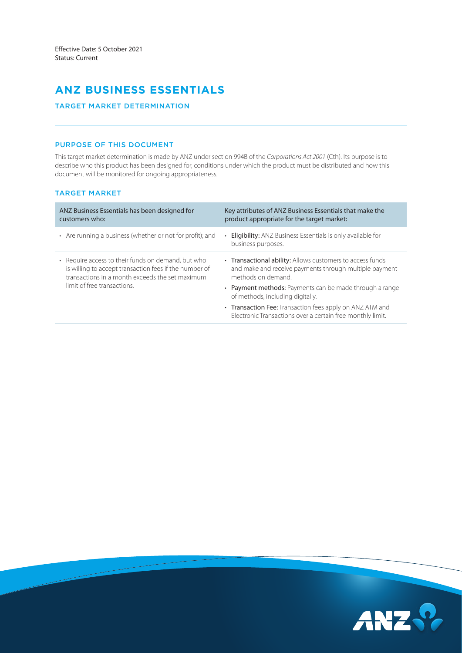# **ANZ BUSINESS ESSENTIALS**

# TARGET MARKET DETERMINATION

# PURPOSE OF THIS DOCUMENT

This target market determination is made by ANZ under section 994B of the *Corporations Act 2001* (Cth). Its purpose is to describe who this product has been designed for, conditions under which the product must be distributed and how this document will be monitored for ongoing appropriateness.

# TARGET MARKET

| ANZ Business Essentials has been designed for<br>customers who:                                                                                                                                | Key attributes of ANZ Business Essentials that make the<br>product appropriate for the target market:                                    |
|------------------------------------------------------------------------------------------------------------------------------------------------------------------------------------------------|------------------------------------------------------------------------------------------------------------------------------------------|
| • Are running a business (whether or not for profit); and                                                                                                                                      | <b>Eligibility:</b> ANZ Business Essentials is only available for<br>$\bullet$<br>business purposes.                                     |
| • Require access to their funds on demand, but who<br>is willing to accept transaction fees if the number of<br>transactions in a month exceeds the set maximum<br>limit of free transactions. | • Transactional ability: Allows customers to access funds<br>and make and receive payments through multiple payment<br>methods on demand |
|                                                                                                                                                                                                | • Payment methods: Payments can be made through a range<br>of methods, including digitally.                                              |
|                                                                                                                                                                                                | • Transaction Fee: Transaction fees apply on ANZ ATM and<br>Electronic Transactions over a certain free monthly limit.                   |

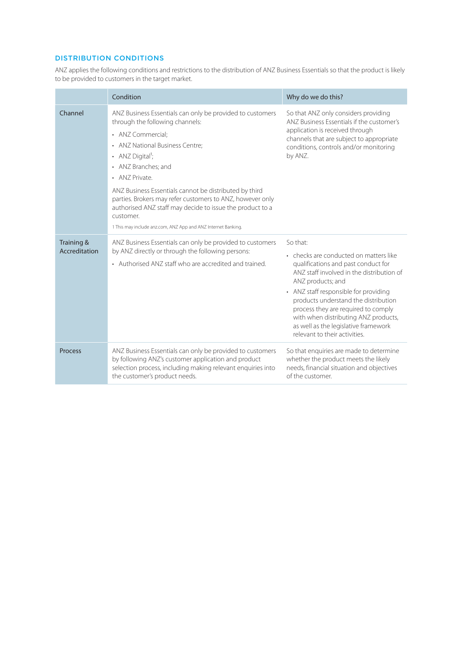# DISTRIBUTION CONDITIONS

ANZ applies the following conditions and restrictions to the distribution of ANZ Business Essentials so that the product is likely to be provided to customers in the target market.

|                             | Condition                                                                                                                                                                                                                                                                                                                                                                                                                                                                                       | Why do we do this?                                                                                                                                                                                                                                                                                                                                                                                   |
|-----------------------------|-------------------------------------------------------------------------------------------------------------------------------------------------------------------------------------------------------------------------------------------------------------------------------------------------------------------------------------------------------------------------------------------------------------------------------------------------------------------------------------------------|------------------------------------------------------------------------------------------------------------------------------------------------------------------------------------------------------------------------------------------------------------------------------------------------------------------------------------------------------------------------------------------------------|
| Channel                     | ANZ Business Essentials can only be provided to customers<br>through the following channels:<br>• ANZ Commercial:<br>• ANZ National Business Centre;<br>• ANZ Digital <sup>1</sup> ;<br>• ANZ Branches; and<br>• ANZ Private.<br>ANZ Business Essentials cannot be distributed by third<br>parties. Brokers may refer customers to ANZ, however only<br>authorised ANZ staff may decide to issue the product to a<br>customer.<br>1 This may include anz.com, ANZ App and ANZ Internet Banking. | So that ANZ only considers providing<br>ANZ Business Essentials if the customer's<br>application is received through<br>channels that are subject to appropriate<br>conditions, controls and/or monitoring<br>by ANZ.                                                                                                                                                                                |
| Training &<br>Accreditation | ANZ Business Essentials can only be provided to customers<br>by ANZ directly or through the following persons:<br>• Authorised ANZ staff who are accredited and trained.                                                                                                                                                                                                                                                                                                                        | So that:<br>• checks are conducted on matters like<br>qualifications and past conduct for<br>ANZ staff involved in the distribution of<br>ANZ products; and<br>• ANZ staff responsible for providing<br>products understand the distribution<br>process they are required to comply<br>with when distributing ANZ products,<br>as well as the legislative framework<br>relevant to their activities. |
| <b>Process</b>              | ANZ Business Essentials can only be provided to customers<br>by following ANZ's customer application and product<br>selection process, including making relevant enquiries into<br>the customer's product needs.                                                                                                                                                                                                                                                                                | So that enquiries are made to determine<br>whether the product meets the likely<br>needs, financial situation and objectives<br>of the customer.                                                                                                                                                                                                                                                     |